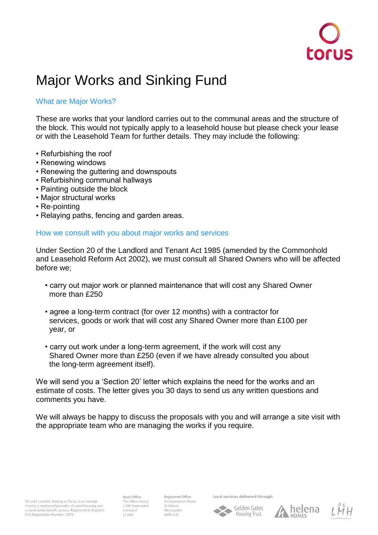

# Major Works and Sinking Fund

## What are Major Works?

These are works that your landlord carries out to the communal areas and the structure of the block. This would not typically apply to a leasehold house but please check your lease or with the Leasehold Team for further details. They may include the following:

- Refurbishing the roof
- Renewing windows
- Renewing the guttering and downspouts
- Refurbishing communal hallways
- Painting outside the block
- Major structural works
- Re-pointing
- Relaying paths, fencing and garden areas.

### How we consult with you about major works and services

Under Section 20 of the Landlord and Tenant Act 1985 (amended by the Commonhold and Leasehold Reform Act 2002), we must consult all Shared Owners who will be affected before we;

- carry out major work or planned maintenance that will cost any Shared Owner more than £250
- agree a long-term contract (for over 12 months) with a contractor for services, goods or work that will cost any Shared Owner more than £100 per year, or
- carry out work under a long-term agreement, if the work will cost any Shared Owner more than £250 (even if we have already consulted you about the long-term agreement itself).

We will send you a 'Section 20' letter which explains the need for the works and an estimate of costs. The letter gives you 30 days to send us any written questions and comments you have.

We will always be happy to discuss the proposals with you and will arrange a site visit with the appropriate team who are managing the works if you require.

**Head Office** The Observatory 1 Old Haymarket **L1 6RA** 

Registered Office 4 Corporation Street St Helens Merseyside WA9 1LD

Local services delivered through: